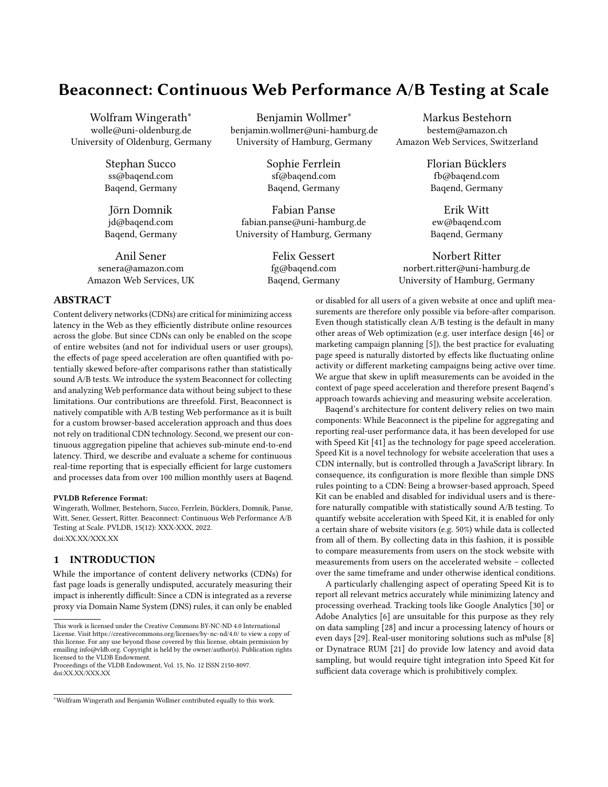# Beaconnect: Continuous Web Performance A/B Testing at Scale

Wolfram Wingerath<sup>∗</sup> wolle@uni-oldenburg.de University of Oldenburg, Germany

> Stephan Succo ss@baqend.com Baqend, Germany

> Jörn Domnik jd@baqend.com Baqend, Germany

Anil Sener senera@amazon.com Amazon Web Services, UK

Benjamin Wollmer<sup>∗</sup> benjamin.wollmer@uni-hamburg.de University of Hamburg, Germany

> Sophie Ferrlein sf@baqend.com Baqend, Germany

Fabian Panse fabian.panse@uni-hamburg.de University of Hamburg, Germany

> Felix Gessert fg@baqend.com Baqend, Germany

Markus Bestehorn bestem@amazon.ch Amazon Web Services, Switzerland

> Florian Bücklers fb@baqend.com Baqend, Germany

Erik Witt ew@baqend.com Baqend, Germany

Norbert Ritter norbert.ritter@uni-hamburg.de University of Hamburg, Germany

# ABSTRACT

Content delivery networks (CDNs) are critical for minimizing access latency in the Web as they efficiently distribute online resources across the globe. But since CDNs can only be enabled on the scope of entire websites (and not for individual users or user groups), the effects of page speed acceleration are often quantified with potentially skewed before-after comparisons rather than statistically sound A/B tests. We introduce the system Beaconnect for collecting and analyzing Web performance data without being subject to these limitations. Our contributions are threefold. First, Beaconnect is natively compatible with A/B testing Web performance as it is built for a custom browser-based acceleration approach and thus does not rely on traditional CDN technology. Second, we present our continuous aggregation pipeline that achieves sub-minute end-to-end latency. Third, we describe and evaluate a scheme for continuous real-time reporting that is especially efficient for large customers and processes data from over 100 million monthly users at Baqend.

#### PVLDB Reference Format:

Wingerath, Wollmer, Bestehorn, Succo, Ferrlein, Bücklers, Domnik, Panse, Witt, Sener, Gessert, Ritter. Beaconnect: Continuous Web Performance A/B Testing at Scale. PVLDB, 15(12): XXX-XXX, 2022. [doi:XX.XX/XXX.XX](https://doi.org/XX.XX/XXX.XX)

## <span id="page-0-0"></span>1 INTRODUCTION

While the importance of content delivery networks (CDNs) for fast page loads is generally undisputed, accurately measuring their impact is inherently difficult: Since a CDN is integrated as a reverse proxy via Domain Name System (DNS) rules, it can only be enabled

Proceedings of the VLDB Endowment, Vol. 15, No. 12 ISSN 2150-8097. [doi:XX.XX/XXX.XX](https://doi.org/XX.XX/XXX.XX)

<sup>∗</sup>Wolfram Wingerath and Benjamin Wollmer contributed equally to this work.

or disabled for all users of a given website at once and uplift measurements are therefore only possible via before-after comparison. Even though statistically clean A/B testing is the default in many other areas of Web optimization (e.g. user interface design [\[46\]](#page-6-0) or marketing campaign planning [\[5\]](#page-5-0)), the best practice for evaluating page speed is naturally distorted by effects like fluctuating online activity or different marketing campaigns being active over time. We argue that skew in uplift measurements can be avoided in the context of page speed acceleration and therefore present Baqend's approach towards achieving and measuring website acceleration.

Baqend's architecture for content delivery relies on two main components: While Beaconnect is the pipeline for aggregating and reporting real-user performance data, it has been developed for use with Speed Kit [\[41\]](#page-5-1) as the technology for page speed acceleration. Speed Kit is a novel technology for website acceleration that uses a CDN internally, but is controlled through a JavaScript library. In consequence, its configuration is more flexible than simple DNS rules pointing to a CDN: Being a browser-based approach, Speed Kit can be enabled and disabled for individual users and is therefore naturally compatible with statistically sound A/B testing. To quantify website acceleration with Speed Kit, it is enabled for only a certain share of website visitors (e.g. 50%) while data is collected from all of them. By collecting data in this fashion, it is possible to compare measurements from users on the stock website with measurements from users on the accelerated website – collected over the same timeframe and under otherwise identical conditions.

A particularly challenging aspect of operating Speed Kit is to report all relevant metrics accurately while minimizing latency and processing overhead. Tracking tools like Google Analytics [\[30\]](#page-5-2) or Adobe Analytics [\[6\]](#page-5-3) are unsuitable for this purpose as they rely on data sampling [\[28\]](#page-5-4) and incur a processing latency of hours or even days [\[29\]](#page-5-5). Real-user monitoring solutions such as mPulse [\[8\]](#page-5-6) or Dynatrace RUM [\[21\]](#page-5-7) do provide low latency and avoid data sampling, but would require tight integration into Speed Kit for sufficient data coverage which is prohibitively complex.

This work is licensed under the Creative Commons BY-NC-ND 4.0 International License. Visit<https://creativecommons.org/licenses/by-nc-nd/4.0/> to view a copy of this license. For any use beyond those covered by this license, obtain permission by emailing [info@vldb.org.](mailto:info@vldb.org) Copyright is held by the owner/author(s). Publication rights licensed to the VLDB Endowment.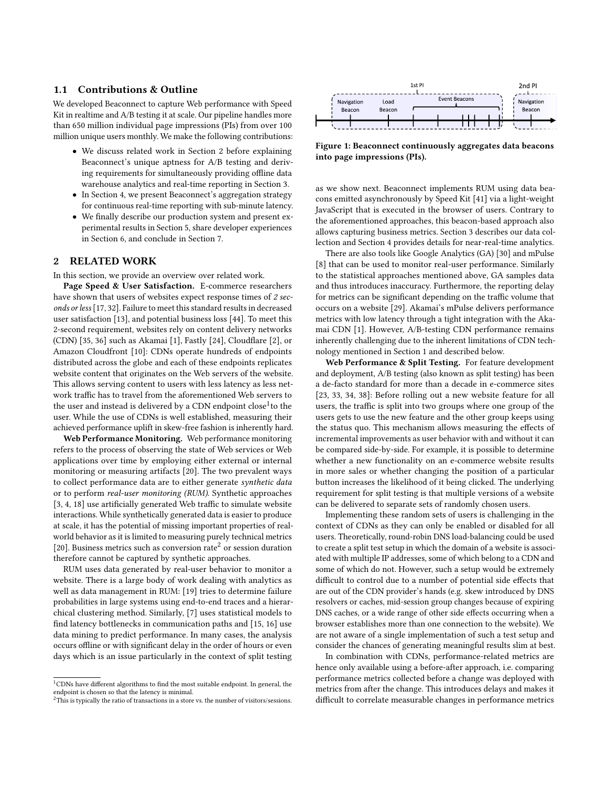## 1.1 Contributions & Outline

We developed Beaconnect to capture Web performance with Speed Kit in realtime and A/B testing it at scale. Our pipeline handles more than 650 million individual page impressions (PIs) from over 100 million unique users monthly. We make the following contributions:

- We discuss related work in Section [2](#page-1-0) before explaining Beaconnect's unique aptness for A/B testing and deriving requirements for simultaneously providing offline data warehouse analytics and real-time reporting in Section [3.](#page-2-0)
- In Section [4,](#page-2-1) we present Beaconnect's aggregation strategy for continuous real-time reporting with sub-minute latency.
- We finally describe our production system and present experimental results in Section [5,](#page-3-0) share developer experiences in Section [6,](#page-4-0) and conclude in Section [7.](#page-5-8)

## <span id="page-1-0"></span>2 RELATED WORK

In this section, we provide an overview over related work.

Page Speed & User Satisfaction. E-commerce researchers have shown that users of websites expect response times of 2 seconds or less [\[17,](#page-5-9) [32\]](#page-5-10). Failure to meet this standard results in decreased user satisfaction [\[13\]](#page-5-11), and potential business loss [\[44\]](#page-6-1). To meet this 2-second requirement, websites rely on content delivery networks (CDN) [\[35,](#page-5-12) [36\]](#page-5-13) such as Akamai [\[1\]](#page-5-14), Fastly [\[24\]](#page-5-15), Cloudflare [\[2\]](#page-5-16), or Amazon Cloudfront [\[10\]](#page-5-17): CDNs operate hundreds of endpoints distributed across the globe and each of these endpoints replicates website content that originates on the Web servers of the website. This allows serving content to users with less latency as less network traffic has to travel from the aforementioned Web servers to the user and instead is delivered by a CDN endpoint close<sup>[1](#page-1-1)</sup> to the user. While the use of CDNs is well established, measuring their achieved performance uplift in skew-free fashion is inherently hard.

Web Performance Monitoring. Web performance monitoring refers to the process of observing the state of Web services or Web applications over time by employing either external or internal monitoring or measuring artifacts [\[20\]](#page-5-18). The two prevalent ways to collect performance data are to either generate synthetic data or to perform real-user monitoring (RUM). Synthetic approaches [\[3,](#page-5-19) [4,](#page-5-20) [18\]](#page-5-21) use artificially generated Web traffic to simulate website interactions. While synthetically generated data is easier to produce at scale, it has the potential of missing important properties of realworld behavior as it is limited to measuring purely technical metrics [\[20\]](#page-5-18). Business metrics such as conversion rate<sup>[2](#page-1-2)</sup> or session duration therefore cannot be captured by synthetic approaches.

RUM uses data generated by real-user behavior to monitor a website. There is a large body of work dealing with analytics as well as data management in RUM: [\[19\]](#page-5-22) tries to determine failure probabilities in large systems using end-to-end traces and a hierarchical clustering method. Similarly, [\[7\]](#page-5-23) uses statistical models to find latency bottlenecks in communication paths and [\[15,](#page-5-24) [16\]](#page-5-25) use data mining to predict performance. In many cases, the analysis occurs offline or with significant delay in the order of hours or even days which is an issue particularly in the context of split testing

<span id="page-1-3"></span>

Figure 1: Beaconnect continuously aggregates data beacons into page impressions (PIs).

as we show next. Beaconnect implements RUM using data beacons emitted asynchronously by Speed Kit [\[41\]](#page-5-1) via a light-weight JavaScript that is executed in the browser of users. Contrary to the aforementioned approaches, this beacon-based approach also allows capturing business metrics. Section [3](#page-2-0) describes our data collection and Section [4](#page-2-1) provides details for near-real-time analytics.

There are also tools like Google Analytics (GA) [\[30\]](#page-5-2) and mPulse [\[8\]](#page-5-6) that can be used to monitor real-user performance. Similarly to the statistical approaches mentioned above, GA samples data and thus introduces inaccuracy. Furthermore, the reporting delay for metrics can be significant depending on the traffic volume that occurs on a website [\[29\]](#page-5-5). Akamai's mPulse delivers performance metrics with low latency through a tight integration with the Akamai CDN [\[1\]](#page-5-14). However, A/B-testing CDN performance remains inherently challenging due to the inherent limitations of CDN technology mentioned in Section [1](#page-0-0) and described below.

Web Performance & Split Testing. For feature development and deployment, A/B testing (also known as split testing) has been a de-facto standard for more than a decade in e-commerce sites [\[23,](#page-5-26) [33,](#page-5-27) [34,](#page-5-28) [38\]](#page-5-29): Before rolling out a new website feature for all users, the traffic is split into two groups where one group of the users gets to use the new feature and the other group keeps using the status quo. This mechanism allows measuring the effects of incremental improvements as user behavior with and without it can be compared side-by-side. For example, it is possible to determine whether a new functionality on an e-commerce website results in more sales or whether changing the position of a particular button increases the likelihood of it being clicked. The underlying requirement for split testing is that multiple versions of a website can be delivered to separate sets of randomly chosen users.

Implementing these random sets of users is challenging in the context of CDNs as they can only be enabled or disabled for all users. Theoretically, round-robin DNS load-balancing could be used to create a split test setup in which the domain of a website is associated with multiple IP addresses, some of which belong to a CDN and some of which do not. However, such a setup would be extremely difficult to control due to a number of potential side effects that are out of the CDN provider's hands (e.g. skew introduced by DNS resolvers or caches, mid-session group changes because of expiring DNS caches, or a wide range of other side effects occurring when a browser establishes more than one connection to the website). We are not aware of a single implementation of such a test setup and consider the chances of generating meaningful results slim at best.

In combination with CDNs, performance-related metrics are hence only available using a before-after approach, i.e. comparing performance metrics collected before a change was deployed with metrics from after the change. This introduces delays and makes it difficult to correlate measurable changes in performance metrics

<span id="page-1-1"></span> $^1 \rm CDNs$  have different algorithms to find the most suitable endpoint. In general, the endpoint is chosen so that the latency is minimal.

<span id="page-1-2"></span><sup>&</sup>lt;sup>2</sup>This is typically the ratio of transactions in a store vs. the number of visitors/sessions.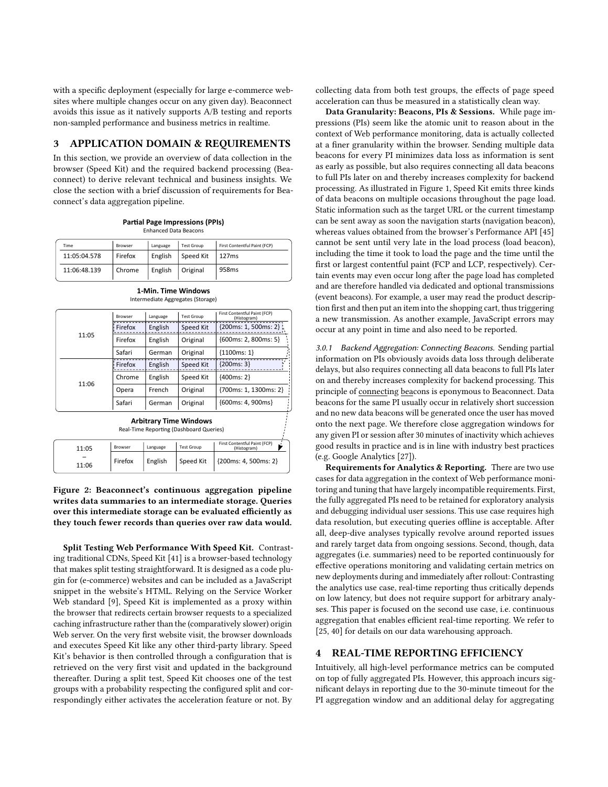with a specific deployment (especially for large e-commerce websites where multiple changes occur on any given day). Beaconnect avoids this issue as it natively supports A/B testing and reports non-sampled performance and business metrics in realtime.

#### <span id="page-2-0"></span>3 APPLICATION DOMAIN & REQUIREMENTS

In this section, we provide an overview of data collection in the browser (Speed Kit) and the required backend processing (Beaconnect) to derive relevant technical and business insights. We close the section with a brief discussion of requirements for Beaconnect's data aggregation pipeline.

<span id="page-2-2"></span>

| Time         | Browser | Language | <b>Test Group</b> | First Contentful Paint (FCP) |  |
|--------------|---------|----------|-------------------|------------------------------|--|
| 11:05:04.578 | Firefox | English  | Speed Kit         | 127ms                        |  |
| 11:06:48.139 | Chrome  | English  | Original          | 958 <sub>ms</sub>            |  |

**Partial Page Impressions (PPIs)** Enhanced Data Beacons

| 11:05                                                                    | Browser        | Language | <b>Test Group</b> | First Contentful Paint (FCP)<br>(Histogram)      |  |  |  |  |
|--------------------------------------------------------------------------|----------------|----------|-------------------|--------------------------------------------------|--|--|--|--|
|                                                                          | Firefox        | English  | Speed Kit         | ${200ms: 1, 500ms: 2}$                           |  |  |  |  |
|                                                                          | Firefox        | English  | Original          | ${600ms: 2, 800ms: 5}$                           |  |  |  |  |
|                                                                          | Safari         | German   | Original          | ${1100ms: 1}$                                    |  |  |  |  |
| 11:06                                                                    | Firefox        | English  | Speed Kit         | ${200ms: 3}$                                     |  |  |  |  |
|                                                                          | Chrome         | English  | Speed Kit         | ${400ms: 2}$                                     |  |  |  |  |
|                                                                          | Opera          | French   | Original          | {700ms: 1, 1300ms: 2}                            |  |  |  |  |
|                                                                          | Safari         | German   | Original          | {600ms: 4, 900ms}                                |  |  |  |  |
| <b>Arbitrary Time Windows</b><br>Real-Time Reporting (Dashboard Queries) |                |          |                   |                                                  |  |  |  |  |
| 11.0E                                                                    | <b>Browser</b> | Language | <b>Test Group</b> | First Contentful Paint (FCP)<br>$ $ Hictoryn $ $ |  |  |  |  |

3.0.1 Backend Aggregation: Connecting Beacons. Sending partial

information on PIs obviously avoids data loss through deliberate delays, but also requires connecting all data beacons to full PIs later on and thereby increases complexity for backend processing. This principle of connecting beacons is eponymous to Beaconnect. Data beacons for the same PI usually occur in relatively short succession and no new data beacons will be generated once the user has moved onto the next page. We therefore close aggregation windows for any given PI or session after 30 minutes of inactivity which achieves good results in practice and is in line with industry best practices (e.g. Google Analytics [\[27\]](#page-5-31)).

Requirements for Analytics & Reporting. There are two use cases for data aggregation in the context of Web performance monitoring and tuning that have largely incompatible requirements. First, the fully aggregated PIs need to be retained for exploratory analysis and debugging individual user sessions. This use case requires high data resolution, but executing queries offline is acceptable. After all, deep-dive analyses typically revolve around reported issues and rarely target data from ongoing sessions. Second, though, data aggregates (i.e. summaries) need to be reported continuously for effective operations monitoring and validating certain metrics on new deployments during and immediately after rollout: Contrasting the analytics use case, real-time reporting thus critically depends on low latency, but does not require support for arbitrary analyses. This paper is focused on the second use case, i.e. continuous aggregation that enables efficient real-time reporting. We refer to [\[25,](#page-5-32) [40\]](#page-5-33) for details on our data warehousing approach.

### <span id="page-2-1"></span>REAL-TIME REPORTING EFFICIENCY

Intuitively, all high-level performance metrics can be computed on top of fully aggregated PIs. However, this approach incurs significant delays in reporting due to the 30-minute timeout for the PI aggregation window and an additional delay for aggregating

Figure 2: Beaconnect's continuous aggregation pipeline writes data summaries to an intermediate storage. Queries over this intermediate storage can be evaluated efficiently as they touch fewer records than queries over raw data would.

Firefox  $\left| \right|$  English  $\left| \right|$  Speed Kit  $\left| \right|$  {200ms: 4, 500ms: 2}

(Histogram)

11:05 – 11:06

Split Testing Web Performance With Speed Kit. Contrasting traditional CDNs, Speed Kit [\[41\]](#page-5-1) is a browser-based technology that makes split testing straightforward. It is designed as a code plugin for (e-commerce) websites and can be included as a JavaScript snippet in the website's HTML. Relying on the Service Worker Web standard [\[9\]](#page-5-30), Speed Kit is implemented as a proxy within the browser that redirects certain browser requests to a specialized caching infrastructure rather than the (comparatively slower) origin Web server. On the very first website visit, the browser downloads and executes Speed Kit like any other third-party library. Speed Kit's behavior is then controlled through a configuration that is retrieved on the very first visit and updated in the background thereafter. During a split test, Speed Kit chooses one of the test groups with a probability respecting the configured split and correspondingly either activates the acceleration feature or not. By

collecting data from both test groups, the effects of page speed acceleration can thus be measured in a statistically clean way.

Data Granularity: Beacons, PIs & Sessions. While page impressions (PIs) seem like the atomic unit to reason about in the context of Web performance monitoring, data is actually collected at a finer granularity within the browser. Sending multiple data beacons for every PI minimizes data loss as information is sent as early as possible, but also requires connecting all data beacons to full PIs later on and thereby increases complexity for backend processing. As illustrated in Figure [1,](#page-1-3) Speed Kit emits three kinds of data beacons on multiple occasions throughout the page load. Static information such as the target URL or the current timestamp can be sent away as soon the navigation starts (navigation beacon), whereas values obtained from the browser's Performance API [\[45\]](#page-6-2) cannot be sent until very late in the load process (load beacon), including the time it took to load the page and the time until the first or largest contentful paint (FCP and LCP, respectively). Certain events may even occur long after the page load has completed and are therefore handled via dedicated and optional transmissions (event beacons). For example, a user may read the product description first and then put an item into the shopping cart, thus triggering a new transmission. As another example, JavaScript errors may occur at any point in time and also need to be reported.

**1-Min. Time Windows** Intermediate Aggregates (Storage)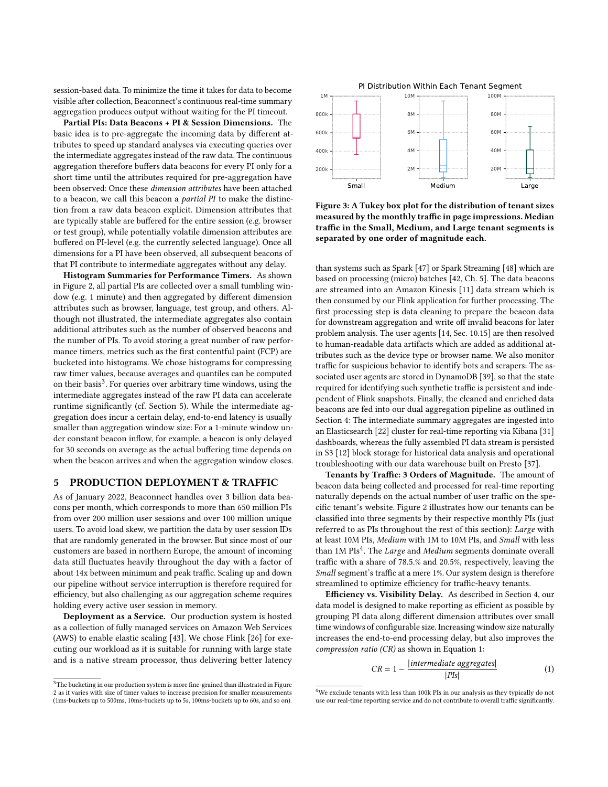session-based data. To minimize the time it takes for data to become visible after collection, Beaconnect's continuous real-time summary aggregation produces output without waiting for the PI timeout.

Partial PIs: Data Beacons + PI & Session Dimensions. The basic idea is to pre-aggregate the incoming data by different attributes to speed up standard analyses via executing queries over the intermediate aggregates instead of the raw data. The continuous aggregation therefore buffers data beacons for every PI only for a short time until the attributes required for pre-aggregation have been observed: Once these dimension attributes have been attached to a beacon, we call this beacon a partial PI to make the distinction from a raw data beacon explicit. Dimension attributes that are typically stable are buffered for the entire session (e.g. browser or test group), while potentially volatile dimension attributes are buffered on PI-level (e.g. the currently selected language). Once all dimensions for a PI have been observed, all subsequent beacons of that PI contribute to intermediate aggregates without any delay.

Histogram Summaries for Performance Timers. As shown in Figure [2,](#page-2-2) all partial PIs are collected over a small tumbling window (e.g. 1 minute) and then aggregated by different dimension attributes such as browser, language, test group, and others. Although not illustrated, the intermediate aggregates also contain additional attributes such as the number of observed beacons and the number of PIs. To avoid storing a great number of raw performance timers, metrics such as the first contentful paint (FCP) are bucketed into histograms. We chose histograms for compressing raw timer values, because averages and quantiles can be computed on their basis<sup>[3](#page-3-1)</sup>. For queries over arbitrary time windows, using the intermediate aggregates instead of the raw PI data can accelerate runtime significantly (cf. Section [5\)](#page-3-0). While the intermediate aggregation does incur a certain delay, end-to-end latency is usually smaller than aggregation window size: For a 1-minute window under constant beacon inflow, for example, a beacon is only delayed for 30 seconds on average as the actual buffering time depends on when the beacon arrives and when the aggregation window closes.

### <span id="page-3-0"></span>5 PRODUCTION DEPLOYMENT & TRAFFIC

As of January 2022, Beaconnect handles over 3 billion data beacons per month, which corresponds to more than 650 million PIs from over 200 million user sessions and over 100 million unique users. To avoid load skew, we partition the data by user session IDs that are randomly generated in the browser. But since most of our customers are based in northern Europe, the amount of incoming data still fluctuates heavily throughout the day with a factor of about 14x between minimum and peak traffic. Scaling up and down our pipeline without service interruption is therefore required for efficiency, but also challenging as our aggregation scheme requires holding every active user session in memory.

Deployment as a Service. Our production system is hosted as a collection of fully managed services on Amazon Web Services (AWS) to enable elastic scaling [\[43\]](#page-6-3). We chose Flink [\[26\]](#page-5-34) for executing our workload as it is suitable for running with large state and is a native stream processor, thus delivering better latency

<span id="page-3-1"></span>



Figure 3: A Tukey box plot for the distribution of tenant sizes measured by the monthly traffic in page impressions. Median traffic in the Small, Medium, and Large tenant segments is separated by one order of magnitude each.

than systems such as Spark [\[47\]](#page-6-4) or Spark Streaming [\[48\]](#page-6-5) which are based on processing (micro) batches [\[42,](#page-6-6) Ch. 5]. The data beacons are streamed into an Amazon Kinesis [\[11\]](#page-5-35) data stream which is then consumed by our Flink application for further processing. The first processing step is data cleaning to prepare the beacon data for downstream aggregation and write off invalid beacons for later problem analysis. The user agents [\[14,](#page-5-36) Sec. 10.15] are then resolved to human-readable data artifacts which are added as additional attributes such as the device type or browser name. We also monitor traffic for suspicious behavior to identify bots and scrapers: The associated user agents are stored in DynamoDB [\[39\]](#page-5-37), so that the state required for identifying such synthetic traffic is persistent and independent of Flink snapshots. Finally, the cleaned and enriched data beacons are fed into our dual aggregation pipeline as outlined in Section [4:](#page-2-1) The intermediate summary aggregates are ingested into an Elasticsearch [\[22\]](#page-5-38) cluster for real-time reporting via Kibana [\[31\]](#page-5-39) dashboards, whereas the fully assembled PI data stream is persisted in S3 [\[12\]](#page-5-40) block storage for historical data analysis and operational troubleshooting with our data warehouse built on Presto [\[37\]](#page-5-41).

Tenants by Traffic: 3 Orders of Magnitude. The amount of beacon data being collected and processed for real-time reporting naturally depends on the actual number of user traffic on the specific tenant's website. Figure 2 illustrates how our tenants can be classified into three segments by their respective monthly PIs (just referred to as PIs throughout the rest of this section): Large with at least 10M PIs, Medium with 1M to 10M PIs, and Small with less than 1M  $PIs<sup>4</sup>$  $PIs<sup>4</sup>$  $PIs<sup>4</sup>$ . The *Large* and *Medium* segments dominate overall traffic with a share of 78.5.% and 20.5%, respectively, leaving the Small segment's traffic at a mere 1%. Our system design is therefore streamlined to optimize efficiency for traffic-heavy tenants.

Efficiency vs. Visibility Delay. As described in Section [4,](#page-2-1) our data model is designed to make reporting as efficient as possible by grouping PI data along different dimension attributes over small time windows of configurable size. Increasing window size naturally increases the end-to-end processing delay, but also improves the compression ratio (CR) as shown in Equation [1:](#page-3-3)

<span id="page-3-3"></span>
$$
CR = 1 - \frac{|intermediate \text{ aggregates}|}{|Pls|}
$$
 (1)

<span id="page-3-2"></span><sup>&</sup>lt;sup>4</sup>We exclude tenants with less than 100k PIs in our analysis as they typically do not use our real-time reporting service and do not contribute to overall traffic significantly.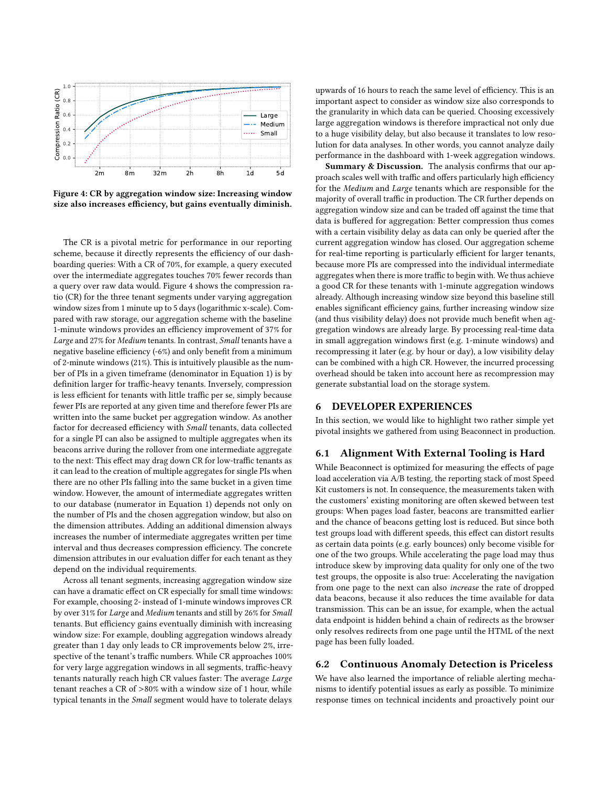<span id="page-4-1"></span>

Figure 4: CR by aggregation window size: Increasing window size also increases efficiency, but gains eventually diminish.

The CR is a pivotal metric for performance in our reporting scheme, because it directly represents the efficiency of our dashboarding queries: With a CR of 70%, for example, a query executed over the intermediate aggregates touches 70% fewer records than a query over raw data would. Figure [4](#page-4-1) shows the compression ratio (CR) for the three tenant segments under varying aggregation window sizes from 1 minute up to 5 days (logarithmic x-scale). Compared with raw storage, our aggregation scheme with the baseline 1-minute windows provides an efficiency improvement of 37% for Large and 27% for Medium tenants. In contrast, Small tenants have a negative baseline efficiency (-6%) and only benefit from a minimum of 2-minute windows (21%). This is intuitively plausible as the number of PIs in a given timeframe (denominator in Equation [1\)](#page-3-3) is by definition larger for traffic-heavy tenants. Inversely, compression is less efficient for tenants with little traffic per se, simply because fewer PIs are reported at any given time and therefore fewer PIs are written into the same bucket per aggregation window. As another factor for decreased efficiency with Small tenants, data collected for a single PI can also be assigned to multiple aggregates when its beacons arrive during the rollover from one intermediate aggregate to the next: This effect may drag down CR for low-traffic tenants as it can lead to the creation of multiple aggregates for single PIs when there are no other PIs falling into the same bucket in a given time window. However, the amount of intermediate aggregates written to our database (numerator in Equation [1\)](#page-3-3) depends not only on the number of PIs and the chosen aggregation window, but also on the dimension attributes. Adding an additional dimension always increases the number of intermediate aggregates written per time interval and thus decreases compression efficiency. The concrete dimension attributes in our evaluation differ for each tenant as they depend on the individual requirements.

Across all tenant segments, increasing aggregation window size can have a dramatic effect on CR especially for small time windows: For example, choosing 2- instead of 1-minute windows improves CR by over 31% for Large and Medium tenants and still by 26% for Small tenants. But efficiency gains eventually diminish with increasing window size: For example, doubling aggregation windows already greater than 1 day only leads to CR improvements below 2%, irrespective of the tenant's traffic numbers. While CR approaches 100% for very large aggregation windows in all segments, traffic-heavy tenants naturally reach high CR values faster: The average Large tenant reaches a CR of >80% with a window size of 1 hour, while typical tenants in the Small segment would have to tolerate delays

upwards of 16 hours to reach the same level of efficiency. This is an important aspect to consider as window size also corresponds to the granularity in which data can be queried. Choosing excessively large aggregation windows is therefore impractical not only due to a huge visibility delay, but also because it translates to low resolution for data analyses. In other words, you cannot analyze daily performance in the dashboard with 1-week aggregation windows.

Summary & Discussion. The analysis confirms that our approach scales well with traffic and offers particularly high efficiency for the Medium and Large tenants which are responsible for the majority of overall traffic in production. The CR further depends on aggregation window size and can be traded off against the time that data is buffered for aggregation: Better compression thus comes with a certain visibility delay as data can only be queried after the current aggregation window has closed. Our aggregation scheme for real-time reporting is particularly efficient for larger tenants, because more PIs are compressed into the individual intermediate aggregates when there is more traffic to begin with. We thus achieve a good CR for these tenants with 1-minute aggregation windows already. Although increasing window size beyond this baseline still enables significant efficiency gains, further increasing window size (and thus visibility delay) does not provide much benefit when aggregation windows are already large. By processing real-time data in small aggregation windows first (e.g. 1-minute windows) and recompressing it later (e.g. by hour or day), a low visibility delay can be combined with a high CR. However, the incurred processing overhead should be taken into account here as recompression may generate substantial load on the storage system.

### <span id="page-4-0"></span>6 DEVELOPER EXPERIENCES

In this section, we would like to highlight two rather simple yet pivotal insights we gathered from using Beaconnect in production.

## 6.1 Alignment With External Tooling is Hard

While Beaconnect is optimized for measuring the effects of page load acceleration via A/B testing, the reporting stack of most Speed Kit customers is not. In consequence, the measurements taken with the customers' existing monitoring are often skewed between test groups: When pages load faster, beacons are transmitted earlier and the chance of beacons getting lost is reduced. But since both test groups load with different speeds, this effect can distort results as certain data points (e.g. early bounces) only become visible for one of the two groups. While accelerating the page load may thus introduce skew by improving data quality for only one of the two test groups, the opposite is also true: Accelerating the navigation from one page to the next can also increase the rate of dropped data beacons, because it also reduces the time available for data transmission. This can be an issue, for example, when the actual data endpoint is hidden behind a chain of redirects as the browser only resolves redirects from one page until the HTML of the next page has been fully loaded.

## 6.2 Continuous Anomaly Detection is Priceless

We have also learned the importance of reliable alerting mechanisms to identify potential issues as early as possible. To minimize response times on technical incidents and proactively point our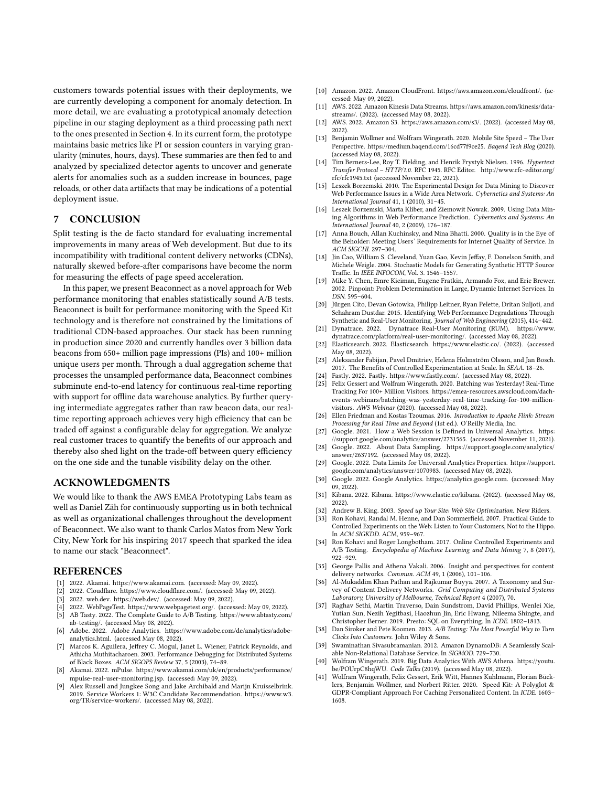customers towards potential issues with their deployments, we are currently developing a component for anomaly detection. In more detail, we are evaluating a prototypical anomaly detection pipeline in our staging deployment as a third processing path next to the ones presented in Section [4.](#page-2-1) In its current form, the prototype maintains basic metrics like PI or session counters in varying granularity (minutes, hours, days). These summaries are then fed to and analyzed by specialized detector agents to uncover and generate alerts for anomalies such as a sudden increase in bounces, page reloads, or other data artifacts that may be indications of a potential deployment issue.

## <span id="page-5-8"></span>7 CONCLUSION

Split testing is the de facto standard for evaluating incremental improvements in many areas of Web development. But due to its incompatibility with traditional content delivery networks (CDNs), naturally skewed before-after comparisons have become the norm for measuring the effects of page speed acceleration.

In this paper, we present Beaconnect as a novel approach for Web performance monitoring that enables statistically sound A/B tests. Beaconnect is built for performance monitoring with the Speed Kit technology and is therefore not constrained by the limitations of traditional CDN-based approaches. Our stack has been running in production since 2020 and currently handles over 3 billion data beacons from 650+ million page impressions (PIs) and 100+ million unique users per month. Through a dual aggregation scheme that processes the unsampled performance data, Beaconnect combines subminute end-to-end latency for continuous real-time reporting with support for offline data warehouse analytics. By further querying intermediate aggregates rather than raw beacon data, our realtime reporting approach achieves very high efficiency that can be traded off against a configurable delay for aggregation. We analyze real customer traces to quantify the benefits of our approach and thereby also shed light on the trade-off between query efficiency on the one side and the tunable visibility delay on the other.

### ACKNOWLEDGMENTS

We would like to thank the AWS EMEA Prototyping Labs team as well as Daniel Zäh for continuously supporting us in both technical as well as organizational challenges throughout the development of Beaconnect. We also want to thank Carlos Matos from New York City, New York for his inspiring 2017 speech that sparked the idea to name our stack "Beaconnect".

#### REFERENCES

- <span id="page-5-14"></span>[1] 2022. Akamai. [https://www.akamai.com.](https://www.akamai.com) (accessed: May 09, 2022).
- <span id="page-5-16"></span>[2] 2022. Cloudflare. [https://www.cloudflare.com/.](https://www.cloudflare.com/) (accessed: May 09, 2022).
- <span id="page-5-20"></span><span id="page-5-19"></span>[3] 2022. web.dev. [https://web.dev/.](https://web.dev/) (accessed: May 09, 2022). [4] 2022. WebPageTest. [https://www.webpagetest.org/.](https://www.webpagetest.org/) (accessed: May 09, 2022).
- 
- <span id="page-5-0"></span>[5] AB Tasty. 2022. The Complete Guide to A/B Testing. [https://www.abtasty.com/](https://www.abtasty.com/ab-testing/) [ab-testing/.](https://www.abtasty.com/ab-testing/) (accessed May 08, 2022).
- <span id="page-5-3"></span>[6] Adobe. 2022. Adobe Analytics. [https://www.adobe.com/de/analytics/adobe](https://www.adobe.com/de/analytics/adobe-analytics.html)[analytics.html.](https://www.adobe.com/de/analytics/adobe-analytics.html) (accessed May 08, 2022).
- <span id="page-5-23"></span>[7] Marcos K. Aguilera, Jeffrey C. Mogul, Janet L. Wiener, Patrick Reynolds, and Athicha Muthitacharoen. 2003. Performance Debugging for Distributed Systems of Black Boxes. ACM SIGOPS Review 37, 5 (2003), 74–89.
- <span id="page-5-6"></span>[8] Akamai. 2022. mPulse. [https://www.akamai.com/uk/en/products/performance/](https://www.akamai.com/uk/en/products/performance/mpulse-real-user-monitoring.jsp) [mpulse-real-user-monitoring.jsp.](https://www.akamai.com/uk/en/products/performance/mpulse-real-user-monitoring.jsp) (accessed: May 09, 2022).
- <span id="page-5-30"></span>Alex Russell and Jungkee Song and Jake Archibald and Marijn Kruisselbrink. 2019. Service Workers 1: W3C Candidate Recommendation. [https://www.w3.](https://www.w3.org/TR/service-workers/) [org/TR/service-workers/.](https://www.w3.org/TR/service-workers/) (accessed May 08, 2022).
- <span id="page-5-17"></span>[10] Amazon. 2022. Amazon CloudFront. [https://aws.amazon.com/cloudfront/.](https://aws.amazon.com/cloudfront/) (accessed: May 09, 2022).
- <span id="page-5-35"></span>[11] AWS. 2022. Amazon Kinesis Data Streams. [https://aws.amazon.com/kinesis/data](https://aws.amazon.com/kinesis/data-streams/)[streams/.](https://aws.amazon.com/kinesis/data-streams/) (2022). (accessed May 08, 2022).
- <span id="page-5-40"></span>[12] AWS. 2022. Amazon S3. [https://aws.amazon.com/s3/.](https://aws.amazon.com/s3/) (2022). (accessed May 08, 2022).
- <span id="page-5-11"></span>[13] Benjamin Wollmer and Wolfram Wingerath. 2020. Mobile Site Speed – The User Perspective. [https://medium.baqend.com/16cd77f9ce25.](https://medium.baqend.com/16cd77f9ce25) Baqend Tech Blog (2020). (accessed May 08, 2022).
- <span id="page-5-36"></span>[14] Tim Berners-Lee, Roy T. Fielding, and Henrik Frystyk Nielsen. 1996. Hypertext Transfer Protocol – HTTP/1.0. RFC 1945. RFC Editor. [http://www.rfc-editor.org/](http://www.rfc-editor.org/rfc/rfc1945.txt) [rfc/rfc1945.txt](http://www.rfc-editor.org/rfc/rfc1945.txt) (accessed November 22, 2021).
- <span id="page-5-24"></span>[15] Leszek Borzemski. 2010. The Experimental Design for Data Mining to Discover Web Performance Issues in a Wide Area Network. Cybernetics and Systems: An International Journal 41, 1 (2010), 31–45.
- <span id="page-5-25"></span>[16] Leszek Borzemski, Marta Kliber, and Ziemowit Nowak. 2009. Using Data Mining Algorithms in Web Performance Prediction. Cybernetics and Systems: An International Journal 40, 2 (2009), 176–187.
- <span id="page-5-9"></span>[17] Anna Bouch, Allan Kuchinsky, and Nina Bhatti. 2000. Quality is in the Eye of the Beholder: Meeting Users' Requirements for Internet Quality of Service. In ACM SIGCHI. 297–304.
- <span id="page-5-21"></span>[18] Jin Cao, William S. Cleveland, Yuan Gao, Kevin Jeffay, F. Donelson Smith, and Michele Weigle. 2004. Stochastic Models for Generating Synthetic HTTP Source Traffic. In IEEE INFOCOM, Vol. 3. 1546–1557.
- <span id="page-5-22"></span>[19] Mike Y. Chen, Emre Kiciman, Eugene Fratkin, Armando Fox, and Eric Brewer. 2002. Pinpoint: Problem Determination in Large, Dynamic Internet Services. In DSN. 595–604.
- <span id="page-5-18"></span>[20] Jürgen Cito, Devan Gotowka, Philipp Leitner, Ryan Pelette, Dritan Suljoti, and Schahram Dustdar. 2015. Identifying Web Performance Degradations Through Synthetic and Real-User Monitoring. Journal of Web Engineering (2015), 414–442.
- <span id="page-5-7"></span>[21] Dynatrace. 2022. Dynatrace Real-User Monitoring (RUM). [https://www.](https://www.dynatrace.com/platform/real-user-monitoring/) [dynatrace.com/platform/real-user-monitoring/.](https://www.dynatrace.com/platform/real-user-monitoring/) (accessed May 08, 2022).
- <span id="page-5-38"></span>[22] Elasticsearch. 2022. Elasticsearch. [https://www.elastic.co/.](https://www.elastic.co/) (2022). (accessed May 08, 2022).
- <span id="page-5-26"></span>[23] Aleksander Fabijan, Pavel Dmitriev, Helena Holmström Olsson, and Jan Bosch. 2017. The Benefits of Controlled Experimentation at Scale. In SEAA. 18–26.
- <span id="page-5-15"></span>[24] Fastly. 2022. Fastly. [https://www.fastly.com/.](https://www.fastly.com/) (accessed May 08, 2022).
- <span id="page-5-32"></span>[25] Felix Gessert and Wolfram Wingerath. 2020. Batching was Yesterday! Real-Time Tracking For 100+ Million Visitors. [https://emea-resources.awscloud.com/dach](https://emea-resources.awscloud.com/dach-events-webinars/batching-was-yesterday-real-time-tracking-for-100-million-visitors)[events-webinars/batching-was-yesterday-real-time-tracking-for-100-million](https://emea-resources.awscloud.com/dach-events-webinars/batching-was-yesterday-real-time-tracking-for-100-million-visitors)[visitors.](https://emea-resources.awscloud.com/dach-events-webinars/batching-was-yesterday-real-time-tracking-for-100-million-visitors) AWS Webinar (2020). (accessed May 08, 2022).
- <span id="page-5-34"></span>[26] Ellen Friedman and Kostas Tzoumas. 2016. Introduction to Apache Flink: Stream Processing for Real Time and Beyond (1st ed.). O'Reilly Media, Inc.
- <span id="page-5-31"></span>[27] Google. 2021. How a Web Session is Defined in Universal Analytics. [https:](https://support.google.com/analytics/answer/2731565) [//support.google.com/analytics/answer/2731565.](https://support.google.com/analytics/answer/2731565) (accessed November 11, 2021).
- <span id="page-5-4"></span>[28] Google. 2022. About Data Sampling. [https://support.google.com/analytics/](https://support.google.com/analytics/answer/2637192) [answer/2637192.](https://support.google.com/analytics/answer/2637192) (accessed May 08, 2022).
- <span id="page-5-5"></span>[29] Google. 2022. Data Limits for Universal Analytics Properties. [https://support.](https://support.google.com/analytics/answer/1070983) [google.com/analytics/answer/1070983.](https://support.google.com/analytics/answer/1070983) (accessed May 08, 2022).
- <span id="page-5-2"></span>[30] Google. 2022. Google Analytics. [https://analytics.google.com.](https://analytics.google.com) (accessed: May 09, 2022).
- <span id="page-5-39"></span>[31] Kibana. 2022. Kibana. [https://www.elastic.co/kibana.](https://www.elastic.co/kibana) (2022). (accessed May 08, 2022).
- <span id="page-5-10"></span>[32] Andrew B. King. 2003. Speed up Your Site: Web Site Optimization. New Riders.<br>[33] Ron Kohavi, Randal M. Henne, and Dan Sommerfield. 2007. Practical Guide t
- <span id="page-5-27"></span>Ron Kohavi, Randal M. Henne, and Dan Sommerfield. 2007. Practical Guide to Controlled Experiments on the Web: Listen to Your Customers, Not to the Hippo. In ACM SIGKDD. ACM, 959–967.
- <span id="page-5-28"></span>[34] Ron Kohavi and Roger Longbotham. 2017. Online Controlled Experiments and A/B Testing. Encyclopedia of Machine Learning and Data Mining 7, 8 (2017), 922–929.
- <span id="page-5-12"></span>[35] George Pallis and Athena Vakali. 2006. Insight and perspectives for content delivery networks. Commun. ACM 49, 1 (2006), 101–106.
- <span id="page-5-13"></span>[36] Al-Mukaddim Khan Pathan and Rajkumar Buyya. 2007. A Taxonomy and Survey of Content Delivery Networks. Grid Computing and Distributed Systems Laboratory, University of Melbourne, Technical Report 4 (2007), 70.
- <span id="page-5-41"></span>[37] Raghav Sethi, Martin Traverso, Dain Sundstrom, David Phillips, Wenlei Xie, Yutian Sun, Nezih Yegitbasi, Haozhun Jin, Eric Hwang, Nileema Shingte, and Christopher Berner. 2019. Presto: SQL on Everything. In ICDE. 1802–1813.
- <span id="page-5-29"></span>[38] Dan Siroker and Pete Koomen. 2013. A/B Testing: The Most Powerful Way to Turn Clicks Into Customers. John Wiley & Sons.
- <span id="page-5-37"></span>[39] Swaminathan Sivasubramanian. 2012. Amazon DynamoDB: A Seamlessly Scalable Non-Relational Database Service. In SIGMOD. 729–730.
- <span id="page-5-33"></span>[40] Wolfram Wingerath. 2019. Big Data Analytics With AWS Athena. [https://youtu.](https://youtu.be/POUrpC8hqWU) [be/POUrpC8hqWU.](https://youtu.be/POUrpC8hqWU) Code Talks (2019). (accessed May 08, 2022).
- <span id="page-5-1"></span>[41] Wolfram Wingerath, Felix Gessert, Erik Witt, Hannes Kuhlmann, Florian Bücklers, Benjamin Wollmer, and Norbert Ritter. 2020. Speed Kit: A Polyglot & GDPR-Compliant Approach For Caching Personalized Content. In ICDE. 1603– 1608.